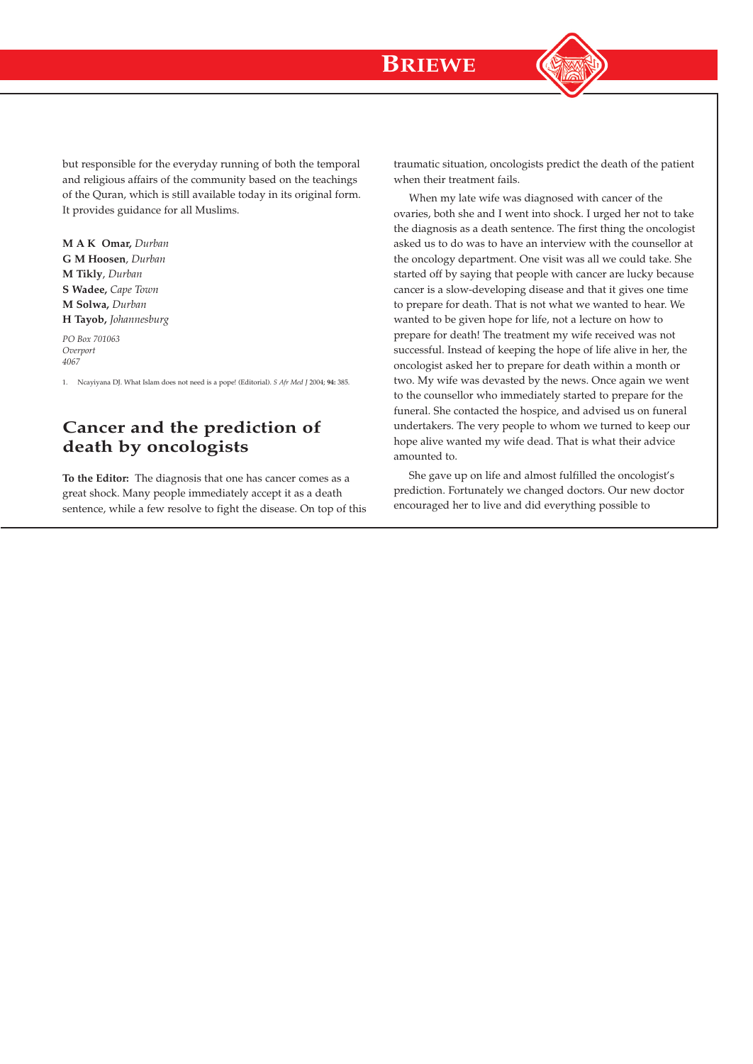

but responsible for the everyday running of both the temporal and religious affairs of the community based on the teachings of the Quran, which is still available today in its original form. It provides guidance for all Muslims.

**M A K Omar,** *Durban* **G M Hoosen**, *Durban* **M Tikly**, *Durban* **S Wadee,** *Cape Town* **M Solwa,** *Durban* **H Tayob,** *Johannesburg*

*PO Box 701063 Overport 4067*

1. Ncayiyana DJ. What Islam does not need is a pope! (Editorial). *S Afr Med J* 2004; **94:** 385.

## **Cancer and the prediction of death by oncologists**

**To the Editor:** The diagnosis that one has cancer comes as a great shock. Many people immediately accept it as a death sentence, while a few resolve to fight the disease. On top of this traumatic situation, oncologists predict the death of the patient when their treatment fails.

When my late wife was diagnosed with cancer of the ovaries, both she and I went into shock. I urged her not to take the diagnosis as a death sentence. The first thing the oncologist asked us to do was to have an interview with the counsellor at the oncology department. One visit was all we could take. She started off by saying that people with cancer are lucky because cancer is a slow-developing disease and that it gives one time to prepare for death. That is not what we wanted to hear. We wanted to be given hope for life, not a lecture on how to prepare for death! The treatment my wife received was not successful. Instead of keeping the hope of life alive in her, the oncologist asked her to prepare for death within a month or two. My wife was devasted by the news. Once again we went to the counsellor who immediately started to prepare for the funeral. She contacted the hospice, and advised us on funeral undertakers. The very people to whom we turned to keep our hope alive wanted my wife dead. That is what their advice amounted to.

She gave up on life and almost fulfilled the oncologist's prediction. Fortunately we changed doctors. Our new doctor encouraged her to live and did everything possible to